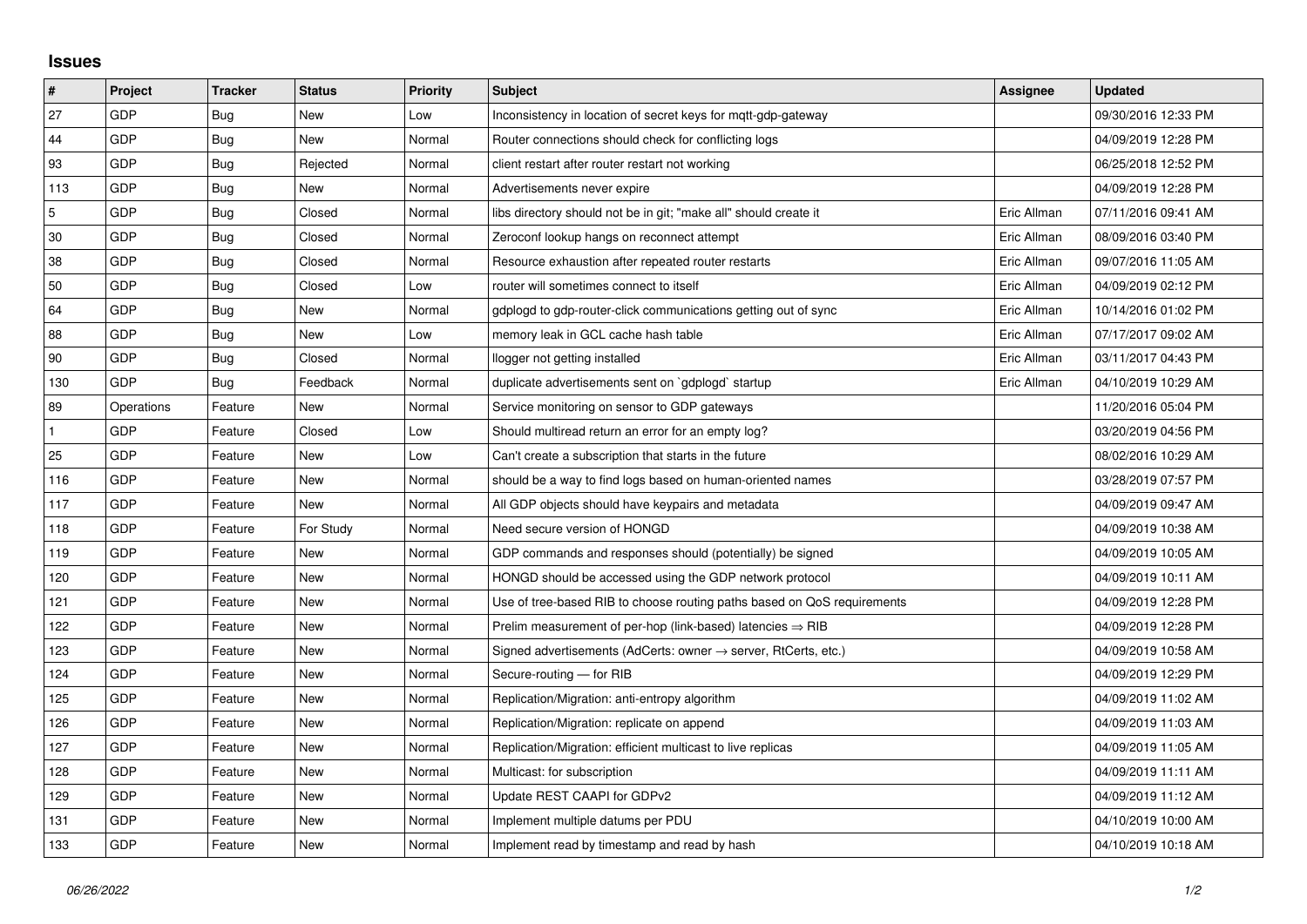## **Issues**

| #          | Project    | <b>Tracker</b> | <b>Status</b> | <b>Priority</b> | <b>Subject</b>                                                          | Assignee    | <b>Updated</b>      |
|------------|------------|----------------|---------------|-----------------|-------------------------------------------------------------------------|-------------|---------------------|
| 27         | GDP        | Bug            | <b>New</b>    | Low             | Inconsistency in location of secret keys for mqtt-gdp-gateway           |             | 09/30/2016 12:33 PM |
| 44         | GDP        | Bug            | <b>New</b>    | Normal          | Router connections should check for conflicting logs                    |             | 04/09/2019 12:28 PM |
| 93         | GDP        | Bug            | Rejected      | Normal          | client restart after router restart not working                         |             | 06/25/2018 12:52 PM |
| 113        | GDP        | Bug            | <b>New</b>    | Normal          | Advertisements never expire                                             |             | 04/09/2019 12:28 PM |
| $\sqrt{5}$ | GDP        | Bug            | Closed        | Normal          | libs directory should not be in git; "make all" should create it        | Eric Allman | 07/11/2016 09:41 AM |
| 30         | GDP        | Bug            | Closed        | Normal          | Zeroconf lookup hangs on reconnect attempt                              | Eric Allman | 08/09/2016 03:40 PM |
| 38         | GDP        | <b>Bug</b>     | Closed        | Normal          | Resource exhaustion after repeated router restarts                      | Eric Allman | 09/07/2016 11:05 AM |
| 50         | GDP        | Bug            | Closed        | Low             | router will sometimes connect to itself                                 | Eric Allman | 04/09/2019 02:12 PM |
| 64         | GDP        | <b>Bug</b>     | New           | Normal          | gdplogd to gdp-router-click communications getting out of sync          | Eric Allman | 10/14/2016 01:02 PM |
| 88         | GDP        | <b>Bug</b>     | New           | Low             | memory leak in GCL cache hash table                                     | Eric Allman | 07/17/2017 09:02 AM |
| 90         | GDP        | Bug            | Closed        | Normal          | llogger not getting installed                                           | Eric Allman | 03/11/2017 04:43 PM |
| 130        | GDP        | Bug            | Feedback      | Normal          | duplicate advertisements sent on `gdplogd` startup                      | Eric Allman | 04/10/2019 10:29 AM |
| 89         | Operations | Feature        | <b>New</b>    | Normal          | Service monitoring on sensor to GDP gateways                            |             | 11/20/2016 05:04 PM |
|            | GDP        | Feature        | Closed        | Low             | Should multiread return an error for an empty log?                      |             | 03/20/2019 04:56 PM |
| 25         | GDP        | Feature        | New           | Low             | Can't create a subscription that starts in the future                   |             | 08/02/2016 10:29 AM |
| 116        | GDP        | Feature        | <b>New</b>    | Normal          | should be a way to find logs based on human-oriented names              |             | 03/28/2019 07:57 PM |
| 117        | GDP        | Feature        | New           | Normal          | All GDP objects should have keypairs and metadata                       |             | 04/09/2019 09:47 AM |
| 118        | GDP        | Feature        | For Study     | Normal          | Need secure version of HONGD                                            |             | 04/09/2019 10:38 AM |
| 119        | GDP        | Feature        | New           | Normal          | GDP commands and responses should (potentially) be signed               |             | 04/09/2019 10:05 AM |
| 120        | GDP        | Feature        | New           | Normal          | HONGD should be accessed using the GDP network protocol                 |             | 04/09/2019 10:11 AM |
| 121        | GDP        | Feature        | New           | Normal          | Use of tree-based RIB to choose routing paths based on QoS requirements |             | 04/09/2019 12:28 PM |
| 122        | GDP        | Feature        | <b>New</b>    | Normal          | Prelim measurement of per-hop (link-based) latencies $\Rightarrow$ RIB  |             | 04/09/2019 12:28 PM |
| 123        | GDP        | Feature        | New           | Normal          | Signed advertisements (AdCerts: owner → server, RtCerts, etc.)          |             | 04/09/2019 10:58 AM |
| 124        | GDP        | Feature        | New           | Normal          | Secure-routing - for RIB                                                |             | 04/09/2019 12:29 PM |
| 125        | GDP        | Feature        | <b>New</b>    | Normal          | Replication/Migration: anti-entropy algorithm                           |             | 04/09/2019 11:02 AM |
| 126        | GDP        | Feature        | New           | Normal          | Replication/Migration: replicate on append                              |             | 04/09/2019 11:03 AM |
| 127        | GDP        | Feature        | New           | Normal          | Replication/Migration: efficient multicast to live replicas             |             | 04/09/2019 11:05 AM |
| 128        | GDP        | Feature        | New           | Normal          | Multicast: for subscription                                             |             | 04/09/2019 11:11 AM |
| 129        | GDP        | Feature        | New           | Normal          | Update REST CAAPI for GDPv2                                             |             | 04/09/2019 11:12 AM |
| 131        | GDP        | Feature        | New           | Normal          | Implement multiple datums per PDU                                       |             | 04/10/2019 10:00 AM |
| 133        | GDP        | Feature        | <b>New</b>    | Normal          | Implement read by timestamp and read by hash                            |             | 04/10/2019 10:18 AM |